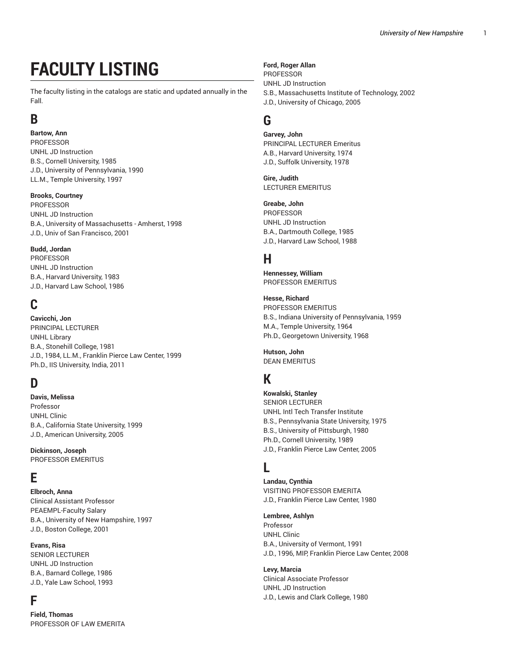# **FACULTY LISTING**

The faculty listing in the catalogs are static and updated annually in the Fall.

## **B**

**Bartow, Ann PROFESSOR** UNHL JD Instruction B.S., Cornell University, 1985 J.D., University of Pennsylvania, 1990 LL.M., Temple University, 1997

### **Brooks, Courtney**

PROFESSOR UNHL JD Instruction B.A., University of Massachusetts - Amherst, 1998 J.D., Univ of San Francisco, 2001

#### **Budd, Jordan**

PROFESSOR UNHL JD Instruction B.A., Harvard University, 1983 J.D., Harvard Law School, 1986

## **C**

**Cavicchi, Jon** PRINCIPAL LECTURER UNHL Library B.A., Stonehill College, 1981 J.D., 1984, LL.M., Franklin Pierce Law Center, 1999 Ph.D., IIS University, India, 2011

## **D**

**Davis, Melissa** Professor UNHL Clinic B.A., California State University, 1999 J.D., American University, 2005

**Dickinson, Joseph** PROFESSOR EMERITUS

## **E**

**Elbroch, Anna** Clinical Assistant Professor PEAEMPL-Faculty Salary B.A., University of New Hampshire, 1997 J.D., Boston College, 2001

### **Evans, Risa**

SENIOR LECTURER UNHL JD Instruction B.A., Barnard College, 1986 J.D., Yale Law School, 1993

## **F**

**Field, Thomas** PROFESSOR OF LAW EMERITA

#### **Ford, Roger Allan**

PROFESSOR UNHL JD Instruction S.B., Massachusetts Institute of Technology, 2002 J.D., University of Chicago, 2005

### **G**

**Garvey, John** PRINCIPAL LECTURER Emeritus A.B., Harvard University, 1974 J.D., Suffolk University, 1978

**Gire, Judith** LECTURER EMERITUS

**Greabe, John** PROFESSOR

UNHL JD Instruction B.A., Dartmouth College, 1985 J.D., Harvard Law School, 1988

## **H**

**Hennessey, William** PROFESSOR EMERITUS

**Hesse, Richard** PROFESSOR EMERITUS B.S., Indiana University of Pennsylvania, 1959 M.A., Temple University, 1964 Ph.D., Georgetown University, 1968

**Hutson, John** DEAN EMERITUS

## **K**

**Kowalski, Stanley** SENIOR LECTURER UNHL Intl Tech Transfer Institute B.S., Pennsylvania State University, 1975 B.S., University of Pittsburgh, 1980 Ph.D., Cornell University, 1989 J.D., Franklin Pierce Law Center, 2005

## **L**

**Landau, Cynthia** VISITING PROFESSOR EMERITA J.D., Franklin Pierce Law Center, 1980

**Lembree, Ashlyn** Professor

UNHL Clinic B.A., University of Vermont, 1991 J.D., 1996, MIP, Franklin Pierce Law Center, 2008

**Levy, Marcia** Clinical Associate Professor UNHL JD Instruction J.D., Lewis and Clark College, 1980